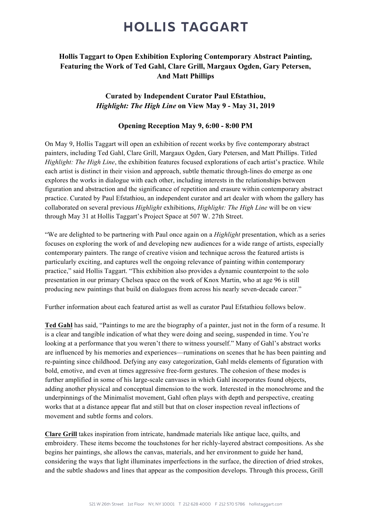# **HOLLIS TAGGART**

### Hollis Taggart to Open Exhibition Exploring Contemporary Abstract Painting, Featuring the Work of Ted Gahl, Clare Grill, Margaux Ogden, Gary Petersen, And Matt Phillips

### Curated by Independent Curator Paul Efstathiou, *Highlight: The High Line* on View May 9 - May 31, 2019

#### Opening Reception May 9, 6:00 - 8:00 PM

On May 9, Hollis Taggart will open an exhibition of recent works by five contemporary abstract painters, including Ted Gahl, Clare Grill, Margaux Ogden, Gary Petersen, and Matt Phillips. Titled *Highlight: The High Line*, the exhibition features focused explorations of each artist's practice. While each artist is distinct in their vision and approach, subtle thematic through-lines do emerge as one explores the works in dialogue with each other, including interests in the relationships between figuration and abstraction and the significance of repetition and erasure within contemporary abstract practice. Curated by Paul Efstathiou, an independent curator and art dealer with whom the gallery has collaborated on several previous *Highlight* exhibitions, *Highlight: The High Line* will be on view through May 31 at Hollis Taggart's Project Space at 507 W. 27th Street.

"We are delighted to be partnering with Paul once again on a *Highlight* presentation, which as a series focuses on exploring the work of and developing new audiences for a wide range of artists, especially contemporary painters. The range of creative vision and technique across the featured artists is particularly exciting, and captures well the ongoing relevance of painting within contemporary practice," said Hollis Taggart. "This exhibition also provides a dynamic counterpoint to the solo presentation in our primary Chelsea space on the work of Knox Martin, who at age 96 is still producing new paintings that build on dialogues from across his nearly seven-decade career."

Further information about each featured artist as well as curator Paul Efstathiou follows below.

Ted Gahl has said, "Paintings to me are the biography of a painter, just not in the form of a resume. It is a clear and tangible indication of what they were doing and seeing, suspended in time. You're looking at a performance that you weren't there to witness yourself." Many of Gahl's abstract works are influenced by his memories and experiences—ruminations on scenes that he has been painting and re-painting since childhood. Defying any easy categorization, Gahl melds elements of figuration with bold, emotive, and even at times aggressive free-form gestures. The cohesion of these modes is further amplified in some of his large-scale canvases in which Gahl incorporates found objects, adding another physical and conceptual dimension to the work. Interested in the monochrome and the underpinnings of the Minimalist movement, Gahl often plays with depth and perspective, creating works that at a distance appear flat and still but that on closer inspection reveal inflections of movement and subtle forms and colors.

Clare Grill takes inspiration from intricate, handmade materials like antique lace, quilts, and embroidery. These items become the touchstones for her richly-layered abstract compositions. As she begins her paintings, she allows the canvas, materials, and her environment to guide her hand, considering the ways that light illuminates imperfections in the surface, the direction of dried strokes, and the subtle shadows and lines that appear as the composition develops. Through this process, Grill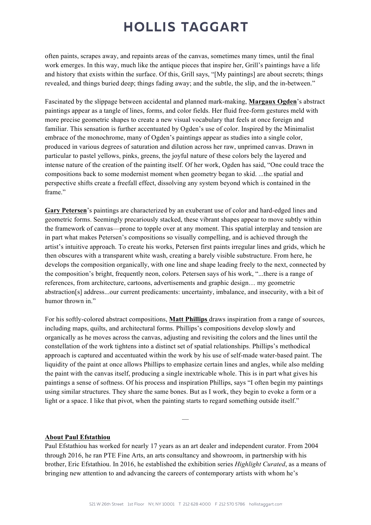# **HOLLIS TAGGART**

often paints, scrapes away, and repaints areas of the canvas, sometimes many times, until the final work emerges. In this way, much like the antique pieces that inspire her, Grill's paintings have a life and history that exists within the surface. Of this, Grill says, "[My paintings] are about secrets; things revealed, and things buried deep; things fading away; and the subtle, the slip, and the in-between."

Fascinated by the slippage between accidental and planned mark-making, Margaux Ogden's abstract paintings appear as a tangle of lines, forms, and color fields. Her fluid free-form gestures meld with more precise geometric shapes to create a new visual vocabulary that feels at once foreign and familiar. This sensation is further accentuated by Ogden's use of color. Inspired by the Minimalist embrace of the monochrome, many of Ogden's paintings appear as studies into a single color, produced in various degrees of saturation and dilution across her raw, unprimed canvas. Drawn in particular to pastel yellows, pinks, greens, the joyful nature of these colors bely the layered and intense nature of the creation of the painting itself. Of her work, Ogden has said, "One could trace the compositions back to some modernist moment when geometry began to skid. ...the spatial and perspective shifts create a freefall effect, dissolving any system beyond which is contained in the frame."

Gary Petersen's paintings are characterized by an exuberant use of color and hard-edged lines and geometric forms. Seemingly precariously stacked, these vibrant shapes appear to move subtly within the framework of canvas—prone to topple over at any moment. This spatial interplay and tension are in part what makes Petersen's compositions so visually compelling, and is achieved through the artist's intuitive approach. To create his works, Petersen first paints irregular lines and grids, which he then obscures with a transparent white wash, creating a barely visible substructure. From here, he develops the composition organically, with one line and shape leading freely to the next, connected by the composition's bright, frequently neon, colors. Petersen says of his work, "...there is a range of references, from architecture, cartoons, advertisements and graphic design… my geometric abstraction[s] address...our current predicaments: uncertainty, imbalance, and insecurity, with a bit of humor thrown in."

For his softly-colored abstract compositions, Matt Phillips draws inspiration from a range of sources, including maps, quilts, and architectural forms. Phillips's compositions develop slowly and organically as he moves across the canvas, adjusting and revisiting the colors and the lines until the constellation of the work tightens into a distinct set of spatial relationships. Phillips's methodical approach is captured and accentuated within the work by his use of self-made water-based paint. The liquidity of the paint at once allows Phillips to emphasize certain lines and angles, while also melding the paint with the canvas itself, producing a single inextricable whole. This is in part what gives his paintings a sense of softness. Of his process and inspiration Phillips, says "I often begin my paintings using similar structures. They share the same bones. But as I work, they begin to evoke a form or a light or a space. I like that pivot, when the painting starts to regard something outside itself."

#### About Paul Efstathiou

Paul Efstathiou has worked for nearly 17 years as an art dealer and independent curator. From 2004 through 2016, he ran PTE Fine Arts, an arts consultancy and showroom, in partnership with his brother, Eric Efstathiou. In 2016, he established the exhibition series *Highlight Curated*, as a means of bringing new attention to and advancing the careers of contemporary artists with whom he's

—